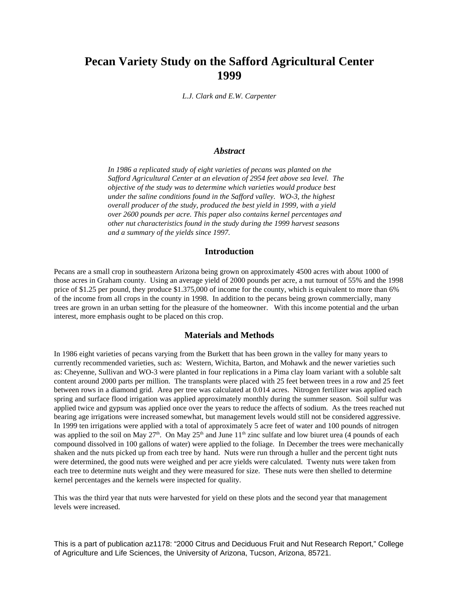# **Pecan Variety Study on the Safford Agricultural Center 1999**

*L.J. Clark and E.W. Carpenter*

#### *Abstract*

*In 1986 a replicated study of eight varieties of pecans was planted on the Safford Agricultural Center at an elevation of 2954 feet above sea level. The objective of the study was to determine which varieties would produce best under the saline conditions found in the Safford valley. WO-3, the highest overall producer of the study, produced the best yield in 1999, with a yield over 2600 pounds per acre. This paper also contains kernel percentages and other nut characteristics found in the study during the 1999 harvest seasons and a summary of the yields since 1997.* 

## **Introduction**

Pecans are a small crop in southeastern Arizona being grown on approximately 4500 acres with about 1000 of those acres in Graham county. Using an average yield of 2000 pounds per acre, a nut turnout of 55% and the 1998 price of \$1.25 per pound, they produce \$1.375,000 of income for the county, which is equivalent to more than 6% of the income from all crops in the county in 1998. In addition to the pecans being grown commercially, many trees are grown in an urban setting for the pleasure of the homeowner. With this income potential and the urban interest, more emphasis ought to be placed on this crop.

# **Materials and Methods**

In 1986 eight varieties of pecans varying from the Burkett that has been grown in the valley for many years to currently recommended varieties, such as: Western, Wichita, Barton, and Mohawk and the newer varieties such as: Cheyenne, Sullivan and WO-3 were planted in four replications in a Pima clay loam variant with a soluble salt content around 2000 parts per million. The transplants were placed with 25 feet between trees in a row and 25 feet between rows in a diamond grid. Area per tree was calculated at 0.014 acres. Nitrogen fertilizer was applied each spring and surface flood irrigation was applied approximately monthly during the summer season. Soil sulfur was applied twice and gypsum was applied once over the years to reduce the affects of sodium. As the trees reached nut bearing age irrigations were increased somewhat, but management levels would still not be considered aggressive. In 1999 ten irrigations were applied with a total of approximately 5 acre feet of water and 100 pounds of nitrogen was applied to the soil on May  $27<sup>th</sup>$ . On May  $25<sup>th</sup>$  and June  $11<sup>th</sup>$  zinc sulfate and low biuret urea (4 pounds of each compound dissolved in 100 gallons of water) were applied to the foliage. In December the trees were mechanically shaken and the nuts picked up from each tree by hand. Nuts were run through a huller and the percent tight nuts were determined, the good nuts were weighed and per acre yields were calculated. Twenty nuts were taken from each tree to determine nuts weight and they were measured for size. These nuts were then shelled to determine kernel percentages and the kernels were inspected for quality.

This was the third year that nuts were harvested for yield on these plots and the second year that management levels were increased.

This is a part of publication az1178: "2000 Citrus and Deciduous Fruit and Nut Research Report," College of Agriculture and Life Sciences, the University of Arizona, Tucson, Arizona, 85721.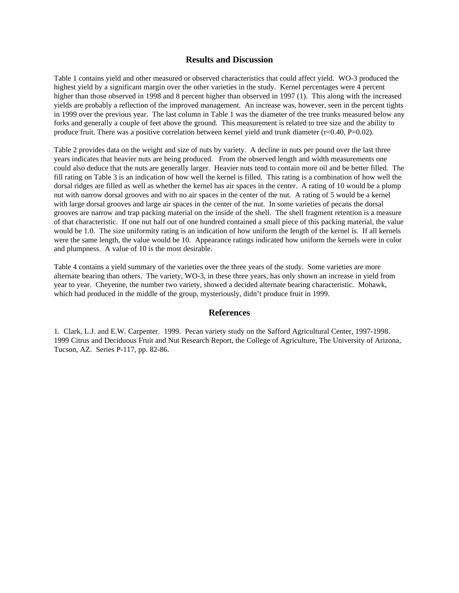### **Results and Discussion**

Table 1 contains yield and other measured or observed characteristics that could affect yield. WO-3 produced the highest yield by a significant margin over the other varieties in the study. Kernel percentages were 4 percent higher than those observed in 1998 and 8 percent higher than observed in 1997 (1). This along with the increased yields are probably a reflection of the improved management. An increase was, however, seen in the percent tights in 1999 over the previous year. The last column in Table 1 was the diameter of the tree trunks measured below any forks and generally a couple of feet above the ground. This measurement is related to tree size and the ability to produce fruit. There was a positive correlation between kernel yield and trunk diameter (r=0.40, P=0.02).

Table 2 provides data on the weight and size of nuts by variety. A decline in nuts per pound over the last three years indicates that heavier nuts are being produced. From the observed length and width measurements one could also deduce that the nuts are generally larger. Heavier nuts tend to contain more oil and be better filled. The fill rating on Table 3 is an indication of how well the kernel is filled. This rating is a combination of how well the dorsal ridges are filled as well as whether the kernel has air spaces in the center. A rating of 10 would be a plump nut with narrow dorsal grooves and with no air spaces in the center of the nut. A rating of 5 would be a kernel with large dorsal grooves and large air spaces in the center of the nut. In some varieties of pecans the dorsal grooves are narrow and trap packing material on the inside of the shell. The shell fragment retention is a measure of that characteristic. If one nut half out of one hundred contained a small piece of this packing material, the value would be 1.0. The size uniformity rating is an indication of how uniform the length of the kernel is. If all kernels were the same length, the value would be 10. Appearance ratings indicated how uniform the kernels were in color and plumpness. A value of 10 is the most desirable.

Table 4 contains a yield summary of the varieties over the three years of the study. Some varieties are more alternate bearing than others. The variety, WO-3, in these three years, has only shown an increase in yield from year to year. Cheyenne, the number two variety, showed a decided alternate bearing characteristic. Mohawk, which had produced in the middle of the group, mysteriously, didn't produce fruit in 1999.

## **References**

1. Clark, L.J. and E.W. Carpenter. 1999. Pecan variety study on the Safford Agricultural Center, 1997-1998. 1999 Citrus and Deciduous Fruit and Nut Research Report, the College of Agriculture, The University of Arizona, Tucson, AZ. Series P-117, pp. 82-86.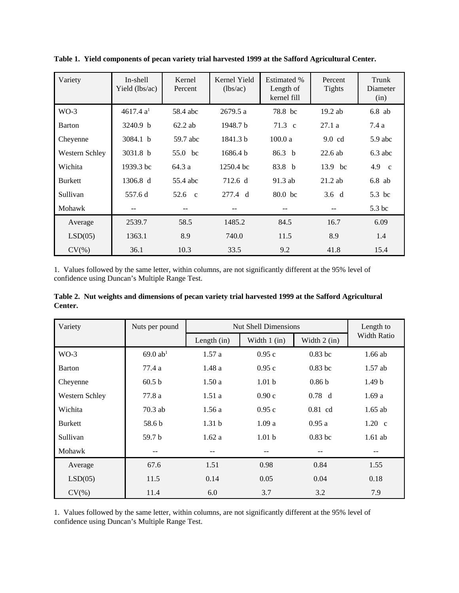| Variety        | In-shell<br>Yield (lbs/ac) | Kernel<br>Percent | Kernel Yield<br>(lbs/ac) | <b>Estimated %</b><br>Length of<br>kernel fill | Percent<br><b>Tights</b> | Trunk<br>Diameter<br>(in) |
|----------------|----------------------------|-------------------|--------------------------|------------------------------------------------|--------------------------|---------------------------|
| $WO-3$         | 4617.4 $a1$                | 58.4 abc          | 2679.5 a                 | 78.8 bc                                        | $19.2$ ab                | $6.8$ ab                  |
| <b>Barton</b>  | 3240.9 b                   | $62.2$ ab         | 1948.7 b                 | $71.3 \text{ c}$                               | 27.1a                    | 7.4 a                     |
| Cheyenne       | 3084.1 b                   | 59.7 abc          | 1841.3 b                 | 100.0a                                         | $9.0 \text{ cd}$         | $5.9$ abc                 |
| Western Schley | 3031.8 b                   | 55.0 bc           | 1686.4 b                 | 86.3 <sub>b</sub>                              | $22.6$ ab                | $6.3$ abc                 |
| Wichita        | 1939.3 bc                  | 64.3 a            | 1250.4 bc                | 83.8 b                                         | 13.9 bc                  | 4.9 c                     |
| <b>Burkett</b> | 1306.8 d                   | 55.4 abc          | 712.6 d                  | $91.3$ ab                                      | $21.2$ ab                | $6.8$ ab                  |
| Sullivan       | 557.6 d                    | 52.6 $\,$ c       | 277.4 d                  | 80.0 <sub>bc</sub>                             | $3.6\ d$                 | 5.3 bc                    |
| Mohawk         | $- -$                      | $- -$             | --                       | $- -$                                          |                          | 5.3 bc                    |
| Average        | 2539.7                     | 58.5              | 1485.2                   | 84.5                                           | 16.7                     | 6.09                      |
| LSD(05)        | 1363.1                     | 8.9               | 740.0                    | 11.5                                           | 8.9                      | 1.4                       |
| $CV(\% )$      | 36.1                       | 10.3              | 33.5                     | 9.2                                            | 41.8                     | 15.4                      |

**Table 1. Yield components of pecan variety trial harvested 1999 at the Safford Agricultural Center.**

1. Values followed by the same letter, within columns, are not significantly different at the 95% level of confidence using Duncan's Multiple Range Test.

|         | Table 2. Nut weights and dimensions of pecan variety trial harvested 1999 at the Safford Agricultural |  |  |  |
|---------|-------------------------------------------------------------------------------------------------------|--|--|--|
| Center. |                                                                                                       |  |  |  |

| Variety        | Nuts per pound         | <b>Nut Shell Dimensions</b> |                   |                   | Length to         |
|----------------|------------------------|-----------------------------|-------------------|-------------------|-------------------|
|                |                        | Length $(in)$               | Width $1$ (in)    | Width $2$ (in)    | Width Ratio       |
| $WO-3$         | $69.0$ ab <sup>1</sup> | 1.57a                       | 0.95c             | $0.83$ bc         | $1.66$ ab         |
| Barton         | 77.4 a                 | 1.48a                       | 0.95c             | $0.83$ bc         | $1.57$ ab         |
| Cheyenne       | 60.5 b                 | 1.50a                       | 1.01 <sub>b</sub> | 0.86 <sub>b</sub> | 1.49 <sub>b</sub> |
| Western Schley | 77.8 a                 | 1.51a                       | 0.90c             | 0.78 d            | 1.69a             |
| Wichita        | $70.3$ ab              | 1.56a                       | 0.95c             | $0.81$ cd         | $1.65$ ab         |
| <b>Burkett</b> | 58.6 b                 | 1.31 <sub>b</sub>           | 1.09a             | 0.95a             | $1.20 \text{ c}$  |
| Sullivan       | 59.7 b                 | 1.62a                       | 1.01 <sub>b</sub> | $0.83$ bc         | $1.61$ ab         |
| Mohawk         |                        |                             |                   |                   |                   |
| Average        | 67.6                   | 1.51                        | 0.98              | 0.84              | 1.55              |
| LSD(05)        | 11.5                   | 0.14                        | 0.05              | 0.04              | 0.18              |
| $CV(\% )$      | 11.4                   | 6.0                         | 3.7               | 3.2               | 7.9               |

1. Values followed by the same letter, within columns, are not significantly different at the 95% level of confidence using Duncan's Multiple Range Test.